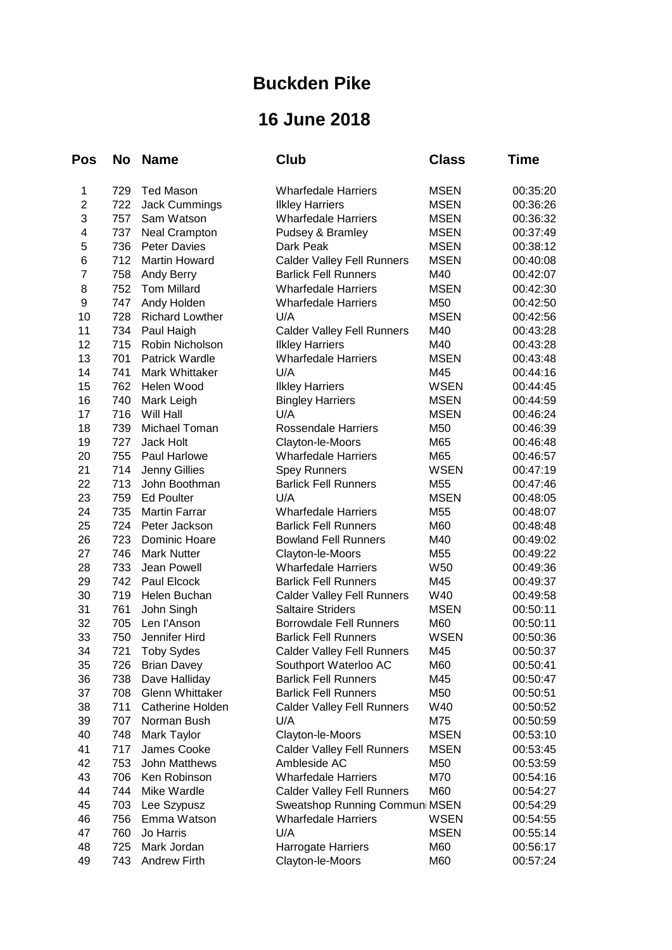## **Buckden Pike**

## **16 June 2018**

| <b>Pos</b>       | No  | <b>Name</b>            | Club                              | <b>Class</b>    | Time     |
|------------------|-----|------------------------|-----------------------------------|-----------------|----------|
| 1                | 729 | <b>Ted Mason</b>       | <b>Wharfedale Harriers</b>        | <b>MSEN</b>     | 00:35:20 |
| $\overline{c}$   | 722 | <b>Jack Cummings</b>   | <b>Ilkley Harriers</b>            | <b>MSEN</b>     | 00:36:26 |
| 3                | 757 | Sam Watson             | <b>Wharfedale Harriers</b>        | <b>MSEN</b>     | 00:36:32 |
| 4                | 737 | <b>Neal Crampton</b>   | Pudsey & Bramley                  | <b>MSEN</b>     | 00:37:49 |
| 5                | 736 | <b>Peter Davies</b>    | Dark Peak                         | <b>MSEN</b>     | 00:38:12 |
| 6                | 712 | Martin Howard          | <b>Calder Valley Fell Runners</b> | <b>MSEN</b>     | 00:40:08 |
| $\overline{7}$   | 758 | Andy Berry             | <b>Barlick Fell Runners</b>       | M40             | 00:42:07 |
| 8                | 752 | <b>Tom Millard</b>     | <b>Wharfedale Harriers</b>        | <b>MSEN</b>     | 00:42:30 |
| $\boldsymbol{9}$ | 747 | Andy Holden            | <b>Wharfedale Harriers</b>        | M50             | 00:42:50 |
| 10               | 728 | <b>Richard Lowther</b> | U/A                               | <b>MSEN</b>     | 00:42:56 |
| 11               | 734 | Paul Haigh             | <b>Calder Valley Fell Runners</b> | M40             | 00:43:28 |
| 12               | 715 | Robin Nicholson        | <b>Ilkley Harriers</b>            | M40             | 00:43:28 |
| 13               | 701 | Patrick Wardle         | <b>Wharfedale Harriers</b>        | <b>MSEN</b>     | 00:43:48 |
| 14               | 741 | Mark Whittaker         | U/A                               | M45             | 00:44:16 |
| 15               | 762 | Helen Wood             | <b>Ilkley Harriers</b>            | WSEN            | 00:44:45 |
| 16               | 740 | Mark Leigh             | <b>Bingley Harriers</b>           | <b>MSEN</b>     | 00:44:59 |
| 17               | 716 | Will Hall              | U/A                               | <b>MSEN</b>     | 00:46:24 |
| 18               | 739 | Michael Toman          | <b>Rossendale Harriers</b>        | M50             | 00:46:39 |
| 19               | 727 | Jack Holt              | Clayton-le-Moors                  | M65             | 00:46:48 |
| 20               | 755 | Paul Harlowe           | <b>Wharfedale Harriers</b>        | M65             | 00:46:57 |
| 21               | 714 | <b>Jenny Gillies</b>   | <b>Spey Runners</b>               | <b>WSEN</b>     | 00:47:19 |
| 22               | 713 | John Boothman          | <b>Barlick Fell Runners</b>       | M55             | 00:47:46 |
| 23               | 759 | <b>Ed Poulter</b>      | U/A                               | <b>MSEN</b>     | 00:48:05 |
| 24               | 735 | <b>Martin Farrar</b>   | <b>Wharfedale Harriers</b>        | M55             | 00:48:07 |
| 25               | 724 | Peter Jackson          | <b>Barlick Fell Runners</b>       | M60             | 00:48:48 |
| 26               | 723 | Dominic Hoare          | <b>Bowland Fell Runners</b>       | M40             | 00:49:02 |
| 27               | 746 | <b>Mark Nutter</b>     | Clayton-le-Moors                  | M55             | 00:49:22 |
| 28               | 733 | Jean Powell            | <b>Wharfedale Harriers</b>        | W <sub>50</sub> | 00:49:36 |
| 29               | 742 | Paul Elcock            | <b>Barlick Fell Runners</b>       | M45             | 00:49:37 |
| 30               | 719 | Helen Buchan           | <b>Calder Valley Fell Runners</b> | W40             | 00:49:58 |
| 31               | 761 | John Singh             | <b>Saltaire Striders</b>          | <b>MSEN</b>     | 00:50:11 |
| 32               | 705 | Len l'Anson            | <b>Borrowdale Fell Runners</b>    | M60             | 00:50:11 |
| 33               | 750 | Jennifer Hird          | <b>Barlick Fell Runners</b>       | <b>WSEN</b>     | 00:50:36 |
| 34               | 721 | <b>Toby Sydes</b>      | <b>Calder Valley Fell Runners</b> | M45             | 00:50:37 |
| 35               | 726 | <b>Brian Davey</b>     | Southport Waterloo AC             | M60             | 00:50:41 |
| 36               | 738 | Dave Halliday          | <b>Barlick Fell Runners</b>       | M45             | 00:50:47 |
| 37               | 708 | <b>Glenn Whittaker</b> | <b>Barlick Fell Runners</b>       | M50             | 00:50:51 |
| 38               | 711 | Catherine Holden       | <b>Calder Valley Fell Runners</b> | W40             | 00:50:52 |
| 39               | 707 | Norman Bush            | U/A                               | M75             | 00:50:59 |
| 40               | 748 | Mark Taylor            | Clayton-le-Moors                  | <b>MSEN</b>     | 00:53:10 |
| 41               | 717 | James Cooke            | <b>Calder Valley Fell Runners</b> | <b>MSEN</b>     | 00:53:45 |
| 42               | 753 | <b>John Matthews</b>   | Ambleside AC                      | M50             | 00:53:59 |
| 43               | 706 | Ken Robinson           | <b>Wharfedale Harriers</b>        | M70             | 00:54:16 |
| 44               | 744 | Mike Wardle            | <b>Calder Valley Fell Runners</b> | M60             | 00:54:27 |
| 45               | 703 | Lee Szypusz            | Sweatshop Running Communi MSEN    |                 | 00:54:29 |
| 46               | 756 | Emma Watson            | <b>Wharfedale Harriers</b>        | WSEN            | 00:54:55 |
| 47               | 760 | Jo Harris              | U/A                               | <b>MSEN</b>     | 00:55:14 |
| 48               | 725 | Mark Jordan            | Harrogate Harriers                | M60             | 00:56:17 |
| 49               | 743 | <b>Andrew Firth</b>    | Clayton-le-Moors                  | M60             | 00:57:24 |